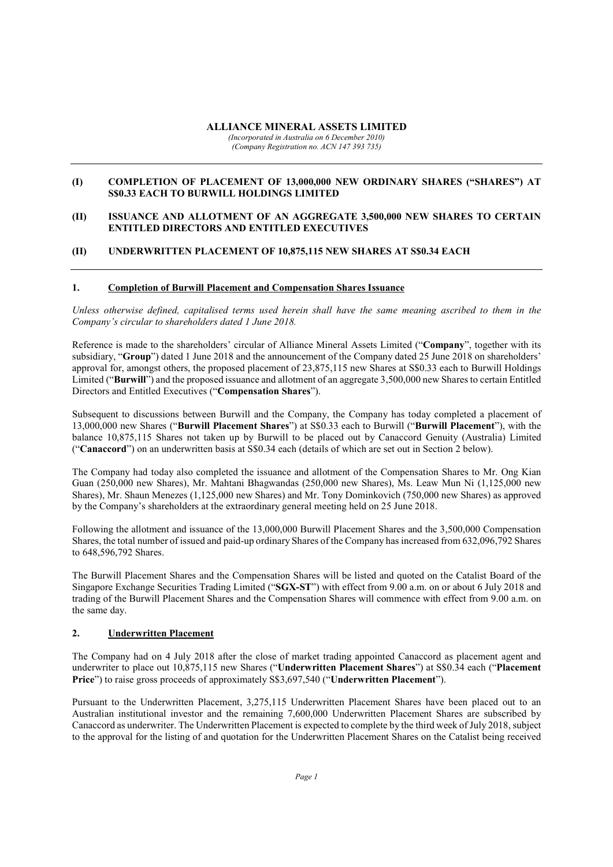### ALLIANCE MINERAL ASSETS LIMITED

(Incorporated in Australia on 6 December 2010) (Company Registration no. ACN 147 393 735)

### (I) COMPLETION OF PLACEMENT OF 13,000,000 NEW ORDINARY SHARES ("SHARES") AT S\$0.33 EACH TO BURWILL HOLDINGS LIMITED

### (II) ISSUANCE AND ALLOTMENT OF AN AGGREGATE 3,500,000 NEW SHARES TO CERTAIN ENTITLED DIRECTORS AND ENTITLED EXECUTIVES

# (II) UNDERWRITTEN PLACEMENT OF 10,875,115 NEW SHARES AT S\$0.34 EACH

### 1. Completion of Burwill Placement and Compensation Shares Issuance

Unless otherwise defined, capitalised terms used herein shall have the same meaning ascribed to them in the Company's circular to shareholders dated 1 June 2018.

Reference is made to the shareholders' circular of Alliance Mineral Assets Limited ("Company", together with its subsidiary, "Group") dated 1 June 2018 and the announcement of the Company dated 25 June 2018 on shareholders' approval for, amongst others, the proposed placement of 23,875,115 new Shares at S\$0.33 each to Burwill Holdings Limited ("Burwill") and the proposed issuance and allotment of an aggregate 3,500,000 new Shares to certain Entitled Directors and Entitled Executives ("Compensation Shares").

Subsequent to discussions between Burwill and the Company, the Company has today completed a placement of 13,000,000 new Shares ("Burwill Placement Shares") at S\$0.33 each to Burwill ("Burwill Placement"), with the balance 10,875,115 Shares not taken up by Burwill to be placed out by Canaccord Genuity (Australia) Limited ("Canaccord") on an underwritten basis at S\$0.34 each (details of which are set out in Section 2 below).

The Company had today also completed the issuance and allotment of the Compensation Shares to Mr. Ong Kian Guan (250,000 new Shares), Mr. Mahtani Bhagwandas (250,000 new Shares), Ms. Leaw Mun Ni (1,125,000 new Shares), Mr. Shaun Menezes (1,125,000 new Shares) and Mr. Tony Dominkovich (750,000 new Shares) as approved by the Company's shareholders at the extraordinary general meeting held on 25 June 2018.

Following the allotment and issuance of the 13,000,000 Burwill Placement Shares and the 3,500,000 Compensation Shares, the total number of issued and paid-up ordinary Shares of the Company has increased from 632,096,792 Shares to 648,596,792 Shares.

The Burwill Placement Shares and the Compensation Shares will be listed and quoted on the Catalist Board of the Singapore Exchange Securities Trading Limited ("SGX-ST") with effect from 9.00 a.m. on or about 6 July 2018 and trading of the Burwill Placement Shares and the Compensation Shares will commence with effect from 9.00 a.m. on the same day.

#### 2. Underwritten Placement

The Company had on 4 July 2018 after the close of market trading appointed Canaccord as placement agent and underwriter to place out 10,875,115 new Shares ("Underwritten Placement Shares") at S\$0.34 each ("Placement Price") to raise gross proceeds of approximately S\$3,697,540 ("Underwritten Placement").

Pursuant to the Underwritten Placement, 3,275,115 Underwritten Placement Shares have been placed out to an Australian institutional investor and the remaining 7,600,000 Underwritten Placement Shares are subscribed by Canaccord as underwriter. The Underwritten Placement is expected to complete by the third week of July 2018, subject to the approval for the listing of and quotation for the Underwritten Placement Shares on the Catalist being received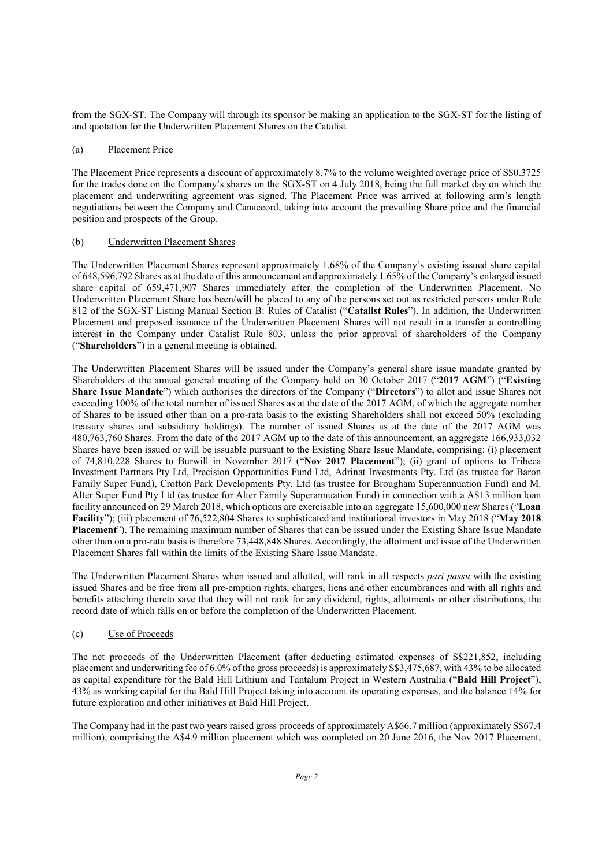from the SGX-ST. The Company will through its sponsor be making an application to the SGX-ST for the listing of and quotation for the Underwritten Placement Shares on the Catalist.

### (a) Placement Price

The Placement Price represents a discount of approximately 8.7% to the volume weighted average price of S\$0.3725 for the trades done on the Company's shares on the SGX-ST on 4 July 2018, being the full market day on which the placement and underwriting agreement was signed. The Placement Price was arrived at following arm's length negotiations between the Company and Canaccord, taking into account the prevailing Share price and the financial position and prospects of the Group.

### (b) Underwritten Placement Shares

The Underwritten Placement Shares represent approximately 1.68% of the Company's existing issued share capital of 648,596,792 Shares as at the date of this announcement and approximately 1.65% of the Company's enlarged issued share capital of 659,471,907 Shares immediately after the completion of the Underwritten Placement. No Underwritten Placement Share has been/will be placed to any of the persons set out as restricted persons under Rule 812 of the SGX-ST Listing Manual Section B: Rules of Catalist ("Catalist Rules"). In addition, the Underwritten Placement and proposed issuance of the Underwritten Placement Shares will not result in a transfer a controlling interest in the Company under Catalist Rule 803, unless the prior approval of shareholders of the Company ("Shareholders") in a general meeting is obtained.

The Underwritten Placement Shares will be issued under the Company's general share issue mandate granted by Shareholders at the annual general meeting of the Company held on 30 October 2017 ("2017 AGM") ("Existing Share Issue Mandate") which authorises the directors of the Company ("Directors") to allot and issue Shares not exceeding 100% of the total number of issued Shares as at the date of the 2017 AGM, of which the aggregate number of Shares to be issued other than on a pro-rata basis to the existing Shareholders shall not exceed 50% (excluding treasury shares and subsidiary holdings). The number of issued Shares as at the date of the 2017 AGM was 480,763,760 Shares. From the date of the 2017 AGM up to the date of this announcement, an aggregate 166,933,032 Shares have been issued or will be issuable pursuant to the Existing Share Issue Mandate, comprising: (i) placement of 74,810,228 Shares to Burwill in November 2017 ("Nov 2017 Placement"); (ii) grant of options to Tribeca Investment Partners Pty Ltd, Precision Opportunities Fund Ltd, Adrinat Investments Pty. Ltd (as trustee for Baron Family Super Fund), Crofton Park Developments Pty. Ltd (as trustee for Brougham Superannuation Fund) and M. Alter Super Fund Pty Ltd (as trustee for Alter Family Superannuation Fund) in connection with a A\$13 million loan facility announced on 29 March 2018, which options are exercisable into an aggregate 15,600,000 new Shares ("Loan Facility"); (iii) placement of 76,522,804 Shares to sophisticated and institutional investors in May 2018 ("May 2018 Placement"). The remaining maximum number of Shares that can be issued under the Existing Share Issue Mandate other than on a pro-rata basis is therefore 73,448,848 Shares. Accordingly, the allotment and issue of the Underwritten Placement Shares fall within the limits of the Existing Share Issue Mandate.

The Underwritten Placement Shares when issued and allotted, will rank in all respects pari passu with the existing issued Shares and be free from all pre-emption rights, charges, liens and other encumbrances and with all rights and benefits attaching thereto save that they will not rank for any dividend, rights, allotments or other distributions, the record date of which falls on or before the completion of the Underwritten Placement.

# (c) Use of Proceeds

The net proceeds of the Underwritten Placement (after deducting estimated expenses of S\$221,852, including placement and underwriting fee of 6.0% of the gross proceeds) is approximately S\$3,475,687, with 43% to be allocated as capital expenditure for the Bald Hill Lithium and Tantalum Project in Western Australia ("Bald Hill Project"), 43% as working capital for the Bald Hill Project taking into account its operating expenses, and the balance 14% for future exploration and other initiatives at Bald Hill Project.

The Company had in the past two years raised gross proceeds of approximately A\$66.7 million (approximately S\$67.4 million), comprising the A\$4.9 million placement which was completed on 20 June 2016, the Nov 2017 Placement,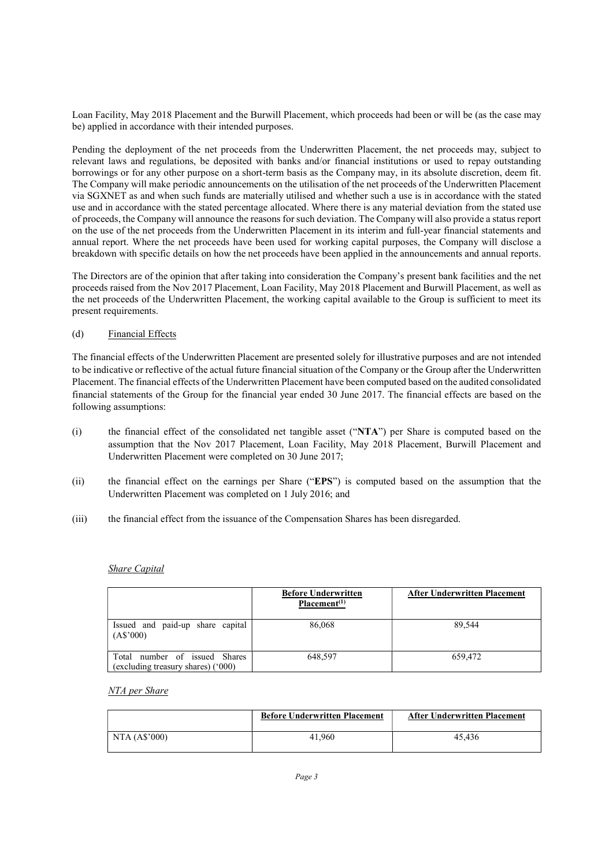Loan Facility, May 2018 Placement and the Burwill Placement, which proceeds had been or will be (as the case may be) applied in accordance with their intended purposes.

Pending the deployment of the net proceeds from the Underwritten Placement, the net proceeds may, subject to relevant laws and regulations, be deposited with banks and/or financial institutions or used to repay outstanding borrowings or for any other purpose on a short-term basis as the Company may, in its absolute discretion, deem fit. The Company will make periodic announcements on the utilisation of the net proceeds of the Underwritten Placement via SGXNET as and when such funds are materially utilised and whether such a use is in accordance with the stated use and in accordance with the stated percentage allocated. Where there is any material deviation from the stated use of proceeds, the Company will announce the reasons for such deviation. The Company will also provide a status report on the use of the net proceeds from the Underwritten Placement in its interim and full-year financial statements and annual report. Where the net proceeds have been used for working capital purposes, the Company will disclose a breakdown with specific details on how the net proceeds have been applied in the announcements and annual reports.

The Directors are of the opinion that after taking into consideration the Company's present bank facilities and the net proceeds raised from the Nov 2017 Placement, Loan Facility, May 2018 Placement and Burwill Placement, as well as the net proceeds of the Underwritten Placement, the working capital available to the Group is sufficient to meet its present requirements.

# (d) Financial Effects

The financial effects of the Underwritten Placement are presented solely for illustrative purposes and are not intended to be indicative or reflective of the actual future financial situation of the Company or the Group after the Underwritten Placement. The financial effects of the Underwritten Placement have been computed based on the audited consolidated financial statements of the Group for the financial year ended 30 June 2017. The financial effects are based on the following assumptions:

- (i) the financial effect of the consolidated net tangible asset ("NTA") per Share is computed based on the assumption that the Nov 2017 Placement, Loan Facility, May 2018 Placement, Burwill Placement and Underwritten Placement were completed on 30 June 2017;
- (ii) the financial effect on the earnings per Share ("EPS") is computed based on the assumption that the Underwritten Placement was completed on 1 July 2016; and
- (iii) the financial effect from the issuance of the Compensation Shares has been disregarded.

#### Share Capital

|                                                                     | <b>Before Underwritten</b><br>Placement <sup>(1)</sup> | <b>After Underwritten Placement</b> |
|---------------------------------------------------------------------|--------------------------------------------------------|-------------------------------------|
| Issued and paid-up share capital<br>(AS'000)                        | 86,068                                                 | 89,544                              |
| Total number of issued Shares<br>(excluding treasury shares) ('000) | 648.597                                                | 659,472                             |

#### NTA per Share

|                | <b>Before Underwritten Placement</b> | <b>After Underwritten Placement</b> |
|----------------|--------------------------------------|-------------------------------------|
| NTA $(AS'000)$ | 41,960                               | 45.436                              |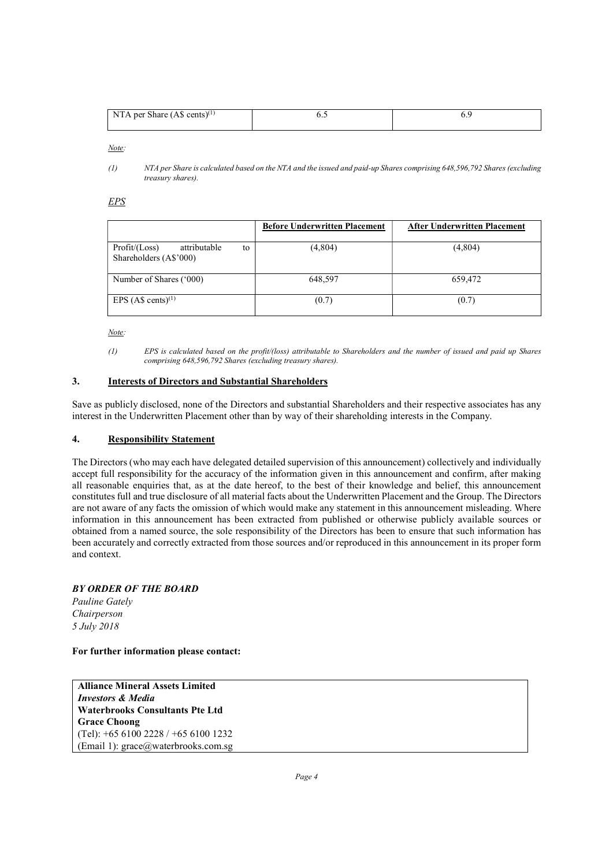| NTA per Share $(AS \text{ cents})^{(1)}$ |  |
|------------------------------------------|--|
|                                          |  |

Note:

(1) NTA per Share is calculated based on the NTA and the issued and paid-up Shares comprising 648,596,792 Shares (excluding treasury shares).

EPS

|                                                                 | <b>Before Underwritten Placement</b> | <b>After Underwritten Placement</b> |
|-----------------------------------------------------------------|--------------------------------------|-------------------------------------|
| attributable<br>Profit / (Loss)<br>to<br>Shareholders (A\$'000) | (4,804)                              | (4,804)                             |
| Number of Shares ('000)                                         | 648,597                              | 659,472                             |
| EPS $(AS \text{ cents})^{(1)}$                                  | (0.7)                                | (0.7)                               |

Note:

(1) EPS is calculated based on the profit/(loss) attributable to Shareholders and the number of issued and paid up Shares comprising 648,596,792 Shares (excluding treasury shares).

# 3. Interests of Directors and Substantial Shareholders

Save as publicly disclosed, none of the Directors and substantial Shareholders and their respective associates has any interest in the Underwritten Placement other than by way of their shareholding interests in the Company.

# 4. Responsibility Statement

The Directors (who may each have delegated detailed supervision of this announcement) collectively and individually accept full responsibility for the accuracy of the information given in this announcement and confirm, after making all reasonable enquiries that, as at the date hereof, to the best of their knowledge and belief, this announcement constitutes full and true disclosure of all material facts about the Underwritten Placement and the Group. The Directors are not aware of any facts the omission of which would make any statement in this announcement misleading. Where information in this announcement has been extracted from published or otherwise publicly available sources or obtained from a named source, the sole responsibility of the Directors has been to ensure that such information has been accurately and correctly extracted from those sources and/or reproduced in this announcement in its proper form and context.

# BY ORDER OF THE BOARD

Pauline Gately Chairperson 5 July 2018

#### For further information please contact:

Alliance Mineral Assets Limited Investors & Media Waterbrooks Consultants Pte Ltd Grace Choong (Tel): +65 6100 2228 / +65 6100 1232 (Email 1): grace@waterbrooks.com.sg